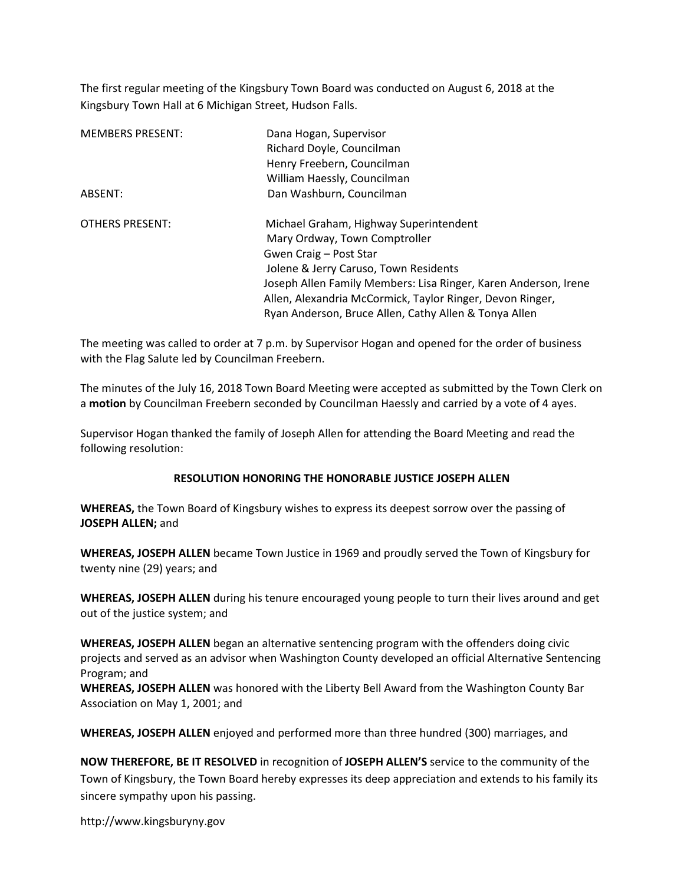The first regular meeting of the Kingsbury Town Board was conducted on August 6, 2018 at the Kingsbury Town Hall at 6 Michigan Street, Hudson Falls.

| <b>MEMBERS PRESENT:</b> | Dana Hogan, Supervisor                                          |
|-------------------------|-----------------------------------------------------------------|
|                         | Richard Doyle, Councilman                                       |
|                         | Henry Freebern, Councilman                                      |
|                         | William Haessly, Councilman                                     |
| ABSENT:                 | Dan Washburn, Councilman                                        |
| <b>OTHERS PRESENT:</b>  | Michael Graham, Highway Superintendent                          |
|                         | Mary Ordway, Town Comptroller                                   |
|                         | Gwen Craig – Post Star                                          |
|                         | Jolene & Jerry Caruso, Town Residents                           |
|                         | Joseph Allen Family Members: Lisa Ringer, Karen Anderson, Irene |
|                         | Allen, Alexandria McCormick, Taylor Ringer, Devon Ringer,       |
|                         | Ryan Anderson, Bruce Allen, Cathy Allen & Tonya Allen           |

The meeting was called to order at 7 p.m. by Supervisor Hogan and opened for the order of business with the Flag Salute led by Councilman Freebern.

The minutes of the July 16, 2018 Town Board Meeting were accepted as submitted by the Town Clerk on a motion by Councilman Freebern seconded by Councilman Haessly and carried by a vote of 4 ayes.

Supervisor Hogan thanked the family of Joseph Allen for attending the Board Meeting and read the following resolution:

#### RESOLUTION HONORING THE HONORABLE JUSTICE JOSEPH ALLEN

WHEREAS, the Town Board of Kingsbury wishes to express its deepest sorrow over the passing of JOSEPH ALLEN; and

WHEREAS, JOSEPH ALLEN became Town Justice in 1969 and proudly served the Town of Kingsbury for twenty nine (29) years; and

WHEREAS, JOSEPH ALLEN during his tenure encouraged young people to turn their lives around and get out of the justice system; and

WHEREAS, JOSEPH ALLEN began an alternative sentencing program with the offenders doing civic projects and served as an advisor when Washington County developed an official Alternative Sentencing Program; and

WHEREAS, JOSEPH ALLEN was honored with the Liberty Bell Award from the Washington County Bar Association on May 1, 2001; and

WHEREAS, JOSEPH ALLEN enjoyed and performed more than three hundred (300) marriages, and

NOW THEREFORE, BE IT RESOLVED in recognition of JOSEPH ALLEN'S service to the community of the Town of Kingsbury, the Town Board hereby expresses its deep appreciation and extends to his family its sincere sympathy upon his passing.

http://www.kingsburyny.gov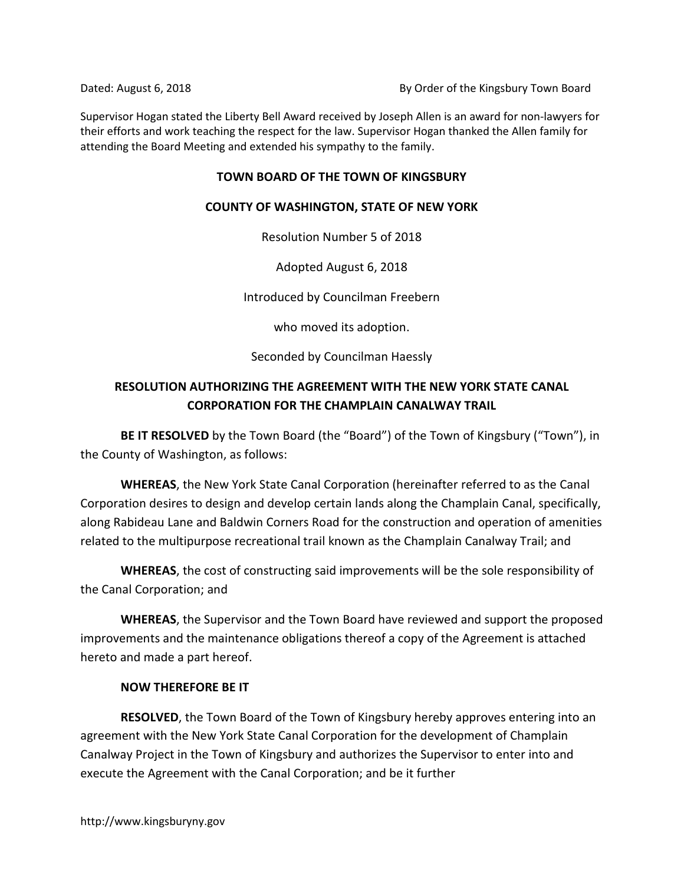Dated: August 6, 2018 **By Order of the Kingsbury Town Board** 

Supervisor Hogan stated the Liberty Bell Award received by Joseph Allen is an award for non-lawyers for their efforts and work teaching the respect for the law. Supervisor Hogan thanked the Allen family for attending the Board Meeting and extended his sympathy to the family.

## TOWN BOARD OF THE TOWN OF KINGSBURY

## COUNTY OF WASHINGTON, STATE OF NEW YORK

Resolution Number 5 of 2018

Adopted August 6, 2018

Introduced by Councilman Freebern

who moved its adoption.

Seconded by Councilman Haessly

# RESOLUTION AUTHORIZING THE AGREEMENT WITH THE NEW YORK STATE CANAL CORPORATION FOR THE CHAMPLAIN CANALWAY TRAIL

BE IT RESOLVED by the Town Board (the "Board") of the Town of Kingsbury ("Town"), in the County of Washington, as follows:

WHEREAS, the New York State Canal Corporation (hereinafter referred to as the Canal Corporation desires to design and develop certain lands along the Champlain Canal, specifically, along Rabideau Lane and Baldwin Corners Road for the construction and operation of amenities related to the multipurpose recreational trail known as the Champlain Canalway Trail; and

WHEREAS, the cost of constructing said improvements will be the sole responsibility of the Canal Corporation; and

WHEREAS, the Supervisor and the Town Board have reviewed and support the proposed improvements and the maintenance obligations thereof a copy of the Agreement is attached hereto and made a part hereof.

# NOW THEREFORE BE IT

RESOLVED, the Town Board of the Town of Kingsbury hereby approves entering into an agreement with the New York State Canal Corporation for the development of Champlain Canalway Project in the Town of Kingsbury and authorizes the Supervisor to enter into and execute the Agreement with the Canal Corporation; and be it further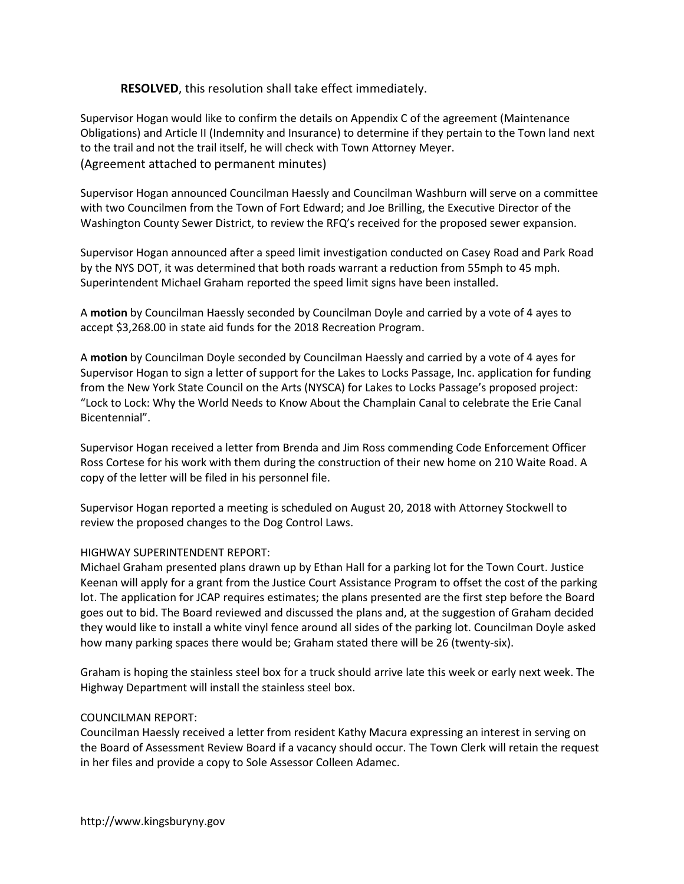## RESOLVED, this resolution shall take effect immediately.

Supervisor Hogan would like to confirm the details on Appendix C of the agreement (Maintenance Obligations) and Article II (Indemnity and Insurance) to determine if they pertain to the Town land next to the trail and not the trail itself, he will check with Town Attorney Meyer. (Agreement attached to permanent minutes)

Supervisor Hogan announced Councilman Haessly and Councilman Washburn will serve on a committee with two Councilmen from the Town of Fort Edward; and Joe Brilling, the Executive Director of the Washington County Sewer District, to review the RFQ's received for the proposed sewer expansion.

Supervisor Hogan announced after a speed limit investigation conducted on Casey Road and Park Road by the NYS DOT, it was determined that both roads warrant a reduction from 55mph to 45 mph. Superintendent Michael Graham reported the speed limit signs have been installed.

A motion by Councilman Haessly seconded by Councilman Doyle and carried by a vote of 4 ayes to accept \$3,268.00 in state aid funds for the 2018 Recreation Program.

A motion by Councilman Doyle seconded by Councilman Haessly and carried by a vote of 4 ayes for Supervisor Hogan to sign a letter of support for the Lakes to Locks Passage, Inc. application for funding from the New York State Council on the Arts (NYSCA) for Lakes to Locks Passage's proposed project: "Lock to Lock: Why the World Needs to Know About the Champlain Canal to celebrate the Erie Canal Bicentennial".

Supervisor Hogan received a letter from Brenda and Jim Ross commending Code Enforcement Officer Ross Cortese for his work with them during the construction of their new home on 210 Waite Road. A copy of the letter will be filed in his personnel file.

Supervisor Hogan reported a meeting is scheduled on August 20, 2018 with Attorney Stockwell to review the proposed changes to the Dog Control Laws.

#### HIGHWAY SUPERINTENDENT REPORT:

Michael Graham presented plans drawn up by Ethan Hall for a parking lot for the Town Court. Justice Keenan will apply for a grant from the Justice Court Assistance Program to offset the cost of the parking lot. The application for JCAP requires estimates; the plans presented are the first step before the Board goes out to bid. The Board reviewed and discussed the plans and, at the suggestion of Graham decided they would like to install a white vinyl fence around all sides of the parking lot. Councilman Doyle asked how many parking spaces there would be; Graham stated there will be 26 (twenty-six).

Graham is hoping the stainless steel box for a truck should arrive late this week or early next week. The Highway Department will install the stainless steel box.

#### COUNCILMAN REPORT:

Councilman Haessly received a letter from resident Kathy Macura expressing an interest in serving on the Board of Assessment Review Board if a vacancy should occur. The Town Clerk will retain the request in her files and provide a copy to Sole Assessor Colleen Adamec.